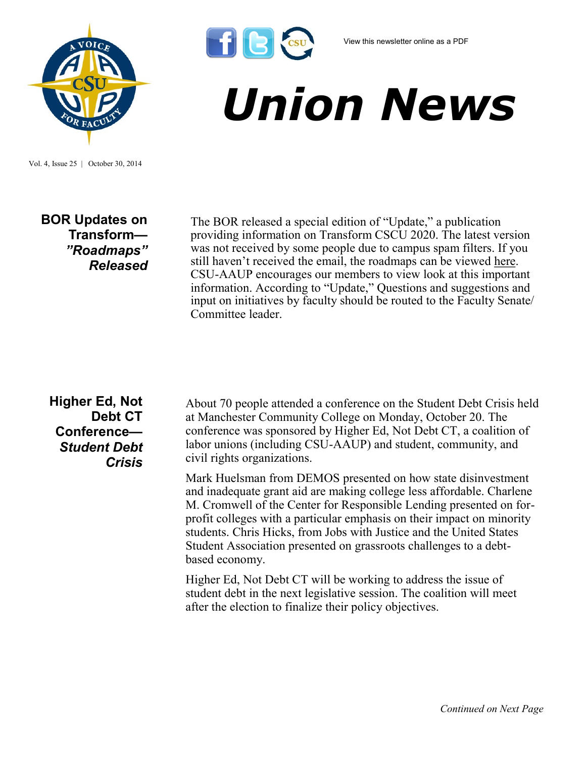



## *Union News*

Vol. 4, Issue 25 | October 30, 2014

## **BOR Updates on Transform—** *"Roadmaps" Released*

The BOR released a special edition of "Update," a publication providing information on Transform CSCU 2020. The latest version was not received by some people due to campus spam filters. If you still haven't received the email, the roadmaps can be viewed [here.](http://www.ct.edu/transform#documents) CSU-AAUP encourages our members to view look at this important information. According to "Update," Questions and suggestions and input on initiatives by faculty should be routed to the Faculty Senate/ Committee leader.

## **Higher Ed, Not Debt CT Conference—** *Student Debt Crisis*

About 70 people attended a conference on the Student Debt Crisis held at Manchester Community College on Monday, October 20. The conference was sponsored by Higher Ed, Not Debt CT, a coalition of labor unions (including CSU-AAUP) and student, community, and civil rights organizations.

Mark Huelsman from DEMOS presented on how state disinvestment and inadequate grant aid are making college less affordable. Charlene M. Cromwell of the Center for Responsible Lending presented on forprofit colleges with a particular emphasis on their impact on minority students. Chris Hicks, from Jobs with Justice and the United States Student Association presented on grassroots challenges to a debtbased economy.

Higher Ed, Not Debt CT will be working to address the issue of student debt in the next legislative session. The coalition will meet after the election to finalize their policy objectives.